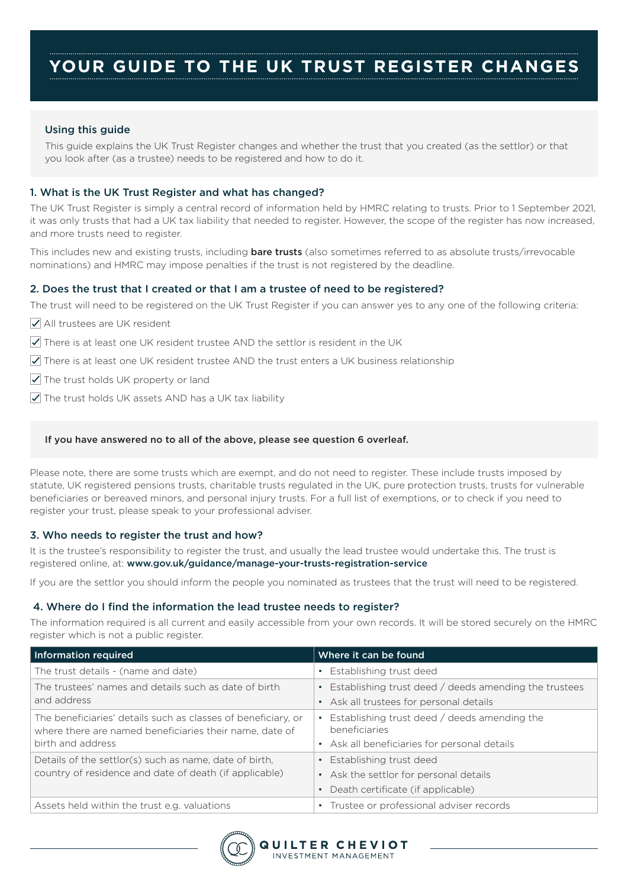# Using this guide

This guide explains the UK Trust Register changes and whether the trust that you created (as the settlor) or that you look after (as a trustee) needs to be registered and how to do it.

# 1. What is the UK Trust Register and what has changed?

The UK Trust Register is simply a central record of information held by HMRC relating to trusts. Prior to 1 September 2021, it was only trusts that had a UK tax liability that needed to register. However, the scope of the register has now increased, and more trusts need to register.

This includes new and existing trusts, including **bare trusts** (also sometimes referred to as absolute trusts/irrevocable nominations) and HMRC may impose penalties if the trust is not registered by the deadline.

## 2. Does the trust that I created or that I am a trustee of need to be registered?

The trust will need to be registered on the UK Trust Register if you can answer yes to any one of the following criteria:

- All trustees are UK resident
- $\sqrt{\phantom{a}}$  There is at least one UK resident trustee AND the settlor is resident in the UK
- $\triangledown$  There is at least one UK resident trustee AND the trust enters a UK business relationship
- $\sqrt{\phantom{a}}$  The trust holds UK property or land
- $\sqrt{\phantom{a}}$  The trust holds UK assets AND has a UK tax liability

## If you have answered no to all of the above, please see question 6 overleaf.

Please note, there are some trusts which are exempt, and do not need to register. These include trusts imposed by statute, UK registered pensions trusts, charitable trusts regulated in the UK, pure protection trusts, trusts for vulnerable beneficiaries or bereaved minors, and personal injury trusts. For a full list of exemptions, or to check if you need to register your trust, please speak to your professional adviser.

## 3. Who needs to register the trust and how?

It is the trustee's responsibility to register the trust, and usually the lead trustee would undertake this. The trust is registered online, at: www.gov.uk/guidance/manage-your-trusts-registration-service

If you are the settlor you should inform the people you nominated as trustees that the trust will need to be registered.

## 4. Where do I find the information the lead trustee needs to register?

The information required is all current and easily accessible from your own records. It will be stored securely on the HMRC register which is not a public register.

| Information required                                                                                                                          | Where it can be found                                                                                         |
|-----------------------------------------------------------------------------------------------------------------------------------------------|---------------------------------------------------------------------------------------------------------------|
| The trust details - (name and date)                                                                                                           | • Establishing trust deed                                                                                     |
| The trustees' names and details such as date of birth<br>and address                                                                          | Establishing trust deed / deeds amending the trustees<br>• Ask all trustees for personal details              |
| The beneficiaries' details such as classes of beneficiary, or<br>where there are named beneficiaries their name, date of<br>birth and address | Establishing trust deed / deeds amending the<br>beneficiaries<br>• Ask all beneficiaries for personal details |
| Details of the settlor(s) such as name, date of birth,<br>country of residence and date of death (if applicable)                              | Establishing trust deed<br>• Ask the settlor for personal details<br>Death certificate (if applicable)        |
| Assets held within the trust e.g. valuations                                                                                                  | Trustee or professional adviser records                                                                       |